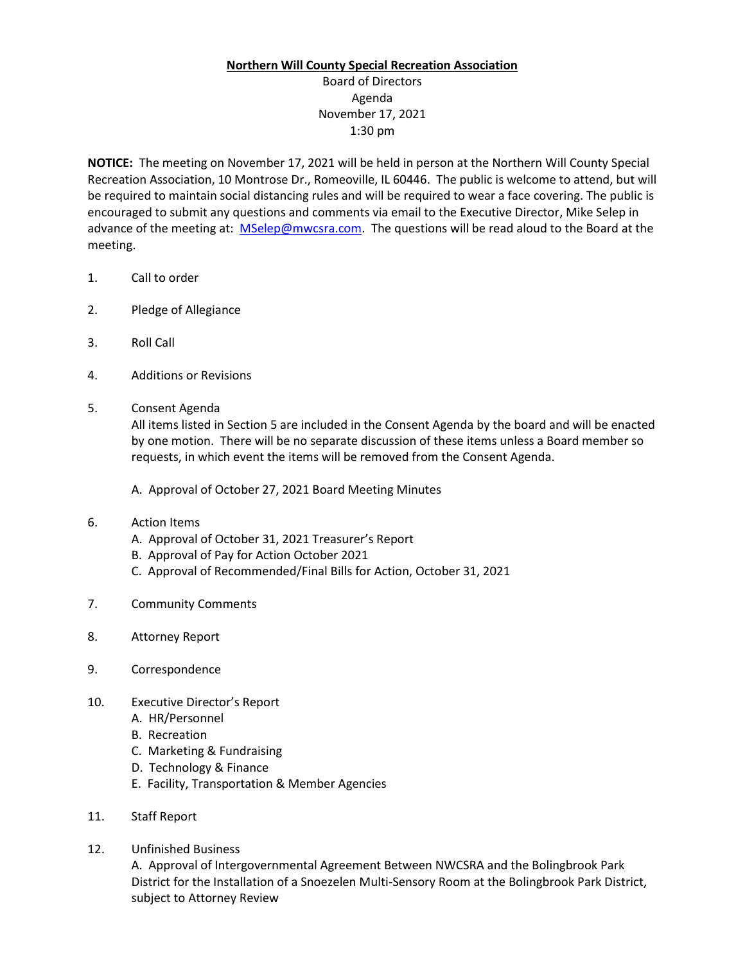## **Northern Will County Special Recreation Association**

## Board of Directors Agenda November 17, 2021 1:30 pm

**NOTICE:** The meeting on November 17, 2021 will be held in person at the Northern Will County Special Recreation Association, 10 Montrose Dr., Romeoville, IL 60446. The public is welcome to attend, but will be required to maintain social distancing rules and will be required to wear a face covering. The public is encouraged to submit any questions and comments via email to the Executive Director, Mike Selep in advance of the meeting at: [MSelep@mwcsra.com.](mailto:MSelep@mwcsra.com) The questions will be read aloud to the Board at the meeting.

- 1. Call to order
- 2. Pledge of Allegiance
- 3. Roll Call
- 4. Additions or Revisions
- 5. Consent Agenda

All items listed in Section 5 are included in the Consent Agenda by the board and will be enacted by one motion. There will be no separate discussion of these items unless a Board member so requests, in which event the items will be removed from the Consent Agenda.

A. Approval of October 27, 2021 Board Meeting Minutes

- 6. Action Items
	- A. Approval of October 31, 2021 Treasurer's Report
	- B. Approval of Pay for Action October 2021
	- C. Approval of Recommended/Final Bills for Action, October 31, 2021
- 7. Community Comments
- 8. Attorney Report
- 9. Correspondence
- 10. Executive Director's Report
	- A. HR/Personnel
	- B. Recreation
	- C. Marketing & Fundraising
	- D. Technology & Finance
	- E. Facility, Transportation & Member Agencies
- 11. Staff Report
- 12. Unfinished Business

A. Approval of Intergovernmental Agreement Between NWCSRA and the Bolingbrook Park District for the Installation of a Snoezelen Multi-Sensory Room at the Bolingbrook Park District, subject to Attorney Review